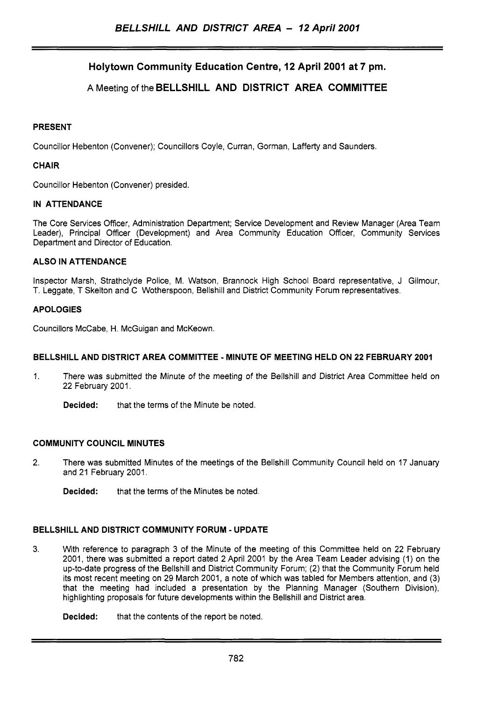# **Holytown Community Education Centre, 12 April 2001 at 7 pm.**

## **A** Meeting of the **BELLSHILL AND DISTRICT AREA COMMITTEE**

### **PRESENT**

Councillor Hebenton (Convener); Councillors Coyle, Curran, Gorman, Lafferty and Saunders.

#### **CHAIR**

Councillor Hebenton (Convener) presided.

#### **IN ATTENDANCE**

The Core Services Officer, Administration Department; Service Development and Review Manager (Area Team Leader), Principal Officer (Development) and Area Community Education Officer, Community Services Department and Director of Education.

#### **ALSO IN ATTENDANCE**

Inspector Marsh, Strathclyde Police, M. Watson, Brannock High School Board representative, J Gilmour, T. Leggate, T Skelton and C Wotherspoon, Bellshill and District Community Forum representatives.

#### **APOLOGIES**

Councillors McCabe, H. McGuigan and McKeown.

## **BELLSHILL AND DISTRICT AREA COMMITTEE** - **MINUTE OF MEETING HELD ON 22 FEBRUARY 2001**

- 1. There was submitted the Minute of the meeting of the Bellshill and District Area Committee held **on**  22 February 2001.
	- **Decided:** that the terms of the Minute be noted.

#### **COMMUNITY COUNCIL MINUTES**

- 2. There was submitted Minutes of the meetings of the Bellshill Community Council held on 17 January and 21 February 2001.
	- **Decided:** that the terms of the Minutes be noted.

## **BELLSHILL AND DISTRICT COMMUNITY FORUM** - **UPDATE**

**3.** With reference to paragraph 3 of the Minute of the meeting of this Committee held on 22 February 2001, there was submitted a report dated 2 April 2001 by the Area Team Leader advising (1) on the up-to-date progress of the Bellshill and District Community Forum; (2) that the Community Forum held its most recent meeting on 29 March 2001, a note of which was tabled for Members attention, and (3) that the meeting had included a presentation by the Planning Manager (Southern Division), highlighting proposals for future developments within the Bellshill and District area.

**Decided:** that the contents of the report be noted.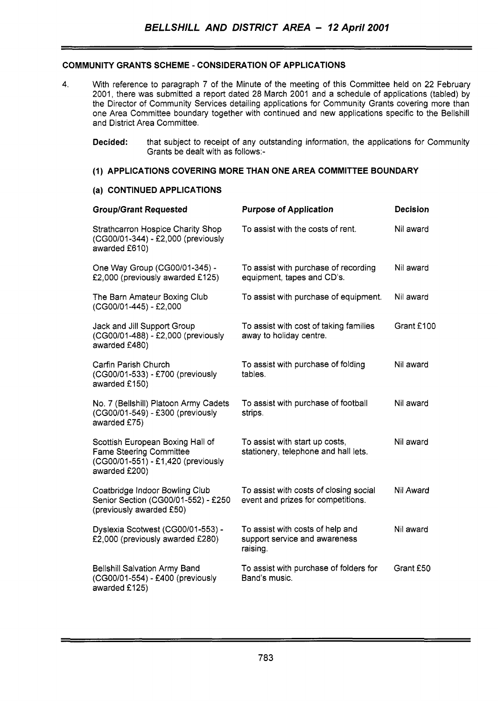## **COMMUNITY GRANTS SCHEME** - **CONSIDERATION OF APPLICATIONS**

- 4. With reference to paragraph 7 of the Minute of the meeting of this Committee held on 22 February 2001, there was submitted a report dated 28 March 2001 and a schedule of applications (tabled) by the Director of Community Services detailing applications for Community Grants covering more than one Area Committee boundary together with continued and new applications specific to the Bellshill and District Area Committee.
	- **Decided:** that subject to receipt of any outstanding information, the applications for Community Grants be dealt with as follows:-

### **(1) APPLICATIONS COVERING MORE THAN ONE AREA COMMITTEE BOUNDARY**

#### **(a) CONTINUED APPLICATIONS**

| <b>Group/Grant Requested</b>                                                                                              | <b>Purpose of Application</b>                                                 | <b>Decision</b> |
|---------------------------------------------------------------------------------------------------------------------------|-------------------------------------------------------------------------------|-----------------|
| <b>Strathcarron Hospice Charity Shop</b><br>(CG00/01-344) - £2,000 (previously<br>awarded £610)                           | To assist with the costs of rent.                                             | Nil award       |
| One Way Group (CG00/01-345) -<br>£2,000 (previously awarded £125)                                                         | To assist with purchase of recording<br>equipment, tapes and CD's.            | Nil award       |
| The Barn Amateur Boxing Club<br>(CG00/01-445) - £2,000                                                                    | To assist with purchase of equipment.                                         | Nil award       |
| Jack and Jill Support Group<br>(CG00/01-488) - £2,000 (previously<br>awarded £480)                                        | To assist with cost of taking families<br>away to holiday centre.             | Grant £100      |
| Carfin Parish Church<br>(CG00/01-533) - £700 (previously<br>awarded £150)                                                 | To assist with purchase of folding<br>tables.                                 | Nil award       |
| No. 7 (Bellshill) Platoon Army Cadets<br>(CG00/01-549) - £300 (previously<br>awarded £75)                                 | To assist with purchase of football<br>strips.                                | Nil award       |
| Scottish European Boxing Hall of<br><b>Fame Steering Committee</b><br>(CG00/01-551) - £1,420 (previously<br>awarded £200) | To assist with start up costs,<br>stationery, telephone and hall lets.        | Nil award       |
| Coatbridge Indoor Bowling Club<br>Senior Section (CG00/01-552) - £250<br>(previously awarded £50)                         | To assist with costs of closing social<br>event and prizes for competitions.  | Nil Award       |
| Dyslexia Scotwest (CG00/01-553) -<br>£2,000 (previously awarded £280)                                                     | To assist with costs of help and<br>support service and awareness<br>raising. | Nil award       |
| <b>Bellshill Salvation Army Band</b><br>(CG00/01-554) - £400 (previously<br>awarded £125)                                 | To assist with purchase of folders for<br>Band's music.                       | Grant £50       |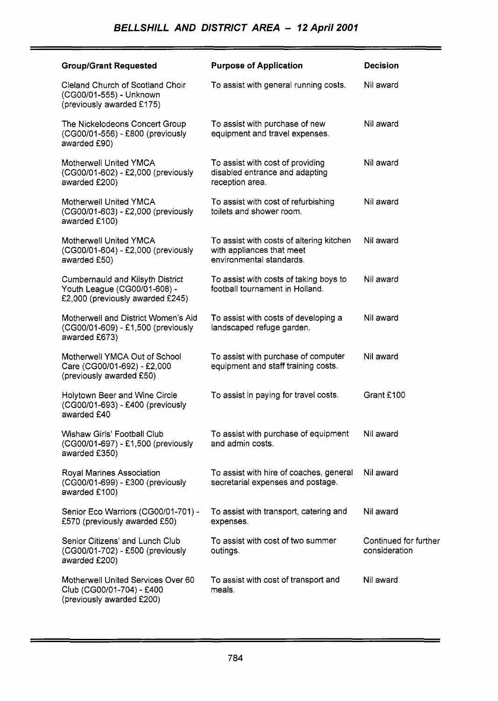| <b>Group/Grant Requested</b>                                                                         | <b>Purpose of Application</b>                                                                     | <b>Decision</b>                        |
|------------------------------------------------------------------------------------------------------|---------------------------------------------------------------------------------------------------|----------------------------------------|
| Cleland Church of Scotland Choir<br>(CG00/01-555) - Unknown<br>(previously awarded £175)             | To assist with general running costs.                                                             | Nil award                              |
| The Nickelodeons Concert Group<br>(CG00/01-556) - £800 (previously<br>awarded £90)                   | To assist with purchase of new<br>equipment and travel expenses.                                  | Nil award                              |
| Motherwell United YMCA<br>(CG00/01-602) - £2,000 (previously<br>awarded £200)                        | To assist with cost of providing<br>disabled entrance and adapting<br>reception area.             | Nil award                              |
| Motherwell United YMCA<br>(CG00/01-603) - £2,000 (previously<br>awarded £100)                        | To assist with cost of refurbishing<br>toilets and shower room.                                   | Nil award                              |
| Motherwell United YMCA<br>(CG00/01-604) - £2,000 (previously<br>awarded £50)                         | To assist with costs of altering kitchen<br>with appliances that meet<br>environmental standards. | Nil award                              |
| Cumbernauld and Kilsyth District<br>Youth League (CG00/01-608) -<br>£2,000 (previously awarded £245) | To assist with costs of taking boys to<br>football tournament in Holland.                         | Nil award                              |
| Motherwell and District Women's Aid<br>(CG00/01-609) - £1,500 (previously<br>awarded £673)           | To assist with costs of developing a<br>landscaped refuge garden.                                 | Nil award                              |
| Motherwell YMCA Out of School<br>Care (CG00/01-692) - £2,000<br>(previously awarded £50)             | To assist with purchase of computer<br>equipment and staff training costs.                        | Nil award                              |
| Holytown Beer and Wine Circle<br>(CG00/01-693) - £400 (previously<br>awarded £40                     | To assist in paying for travel costs.                                                             | Grant £100                             |
| Wishaw Girls' Football Club<br>(CG00/01-697) - £1,500 (previously<br>awarded £350)                   | To assist with purchase of equipment<br>and admin costs.                                          | Nil award                              |
| Royal Marines Association<br>(CG00/01-699) - £300 (previously<br>awarded £100)                       | To assist with hire of coaches, general<br>secretarial expenses and postage.                      | Nil award                              |
| Senior Eco Warriors (CG00/01-701) -<br>£570 (previously awarded £50)                                 | To assist with transport, catering and<br>expenses.                                               | Nil award                              |
| Senior Citizens' and Lunch Club<br>(CG00/01-702) - £500 (previously<br>awarded £200)                 | To assist with cost of two summer<br>outings.                                                     | Continued for further<br>consideration |
| Motherwell United Services Over 60<br>Club (CG00/01-704) - £400<br>(previously awarded £200)         | To assist with cost of transport and<br>meals.                                                    | Nil award                              |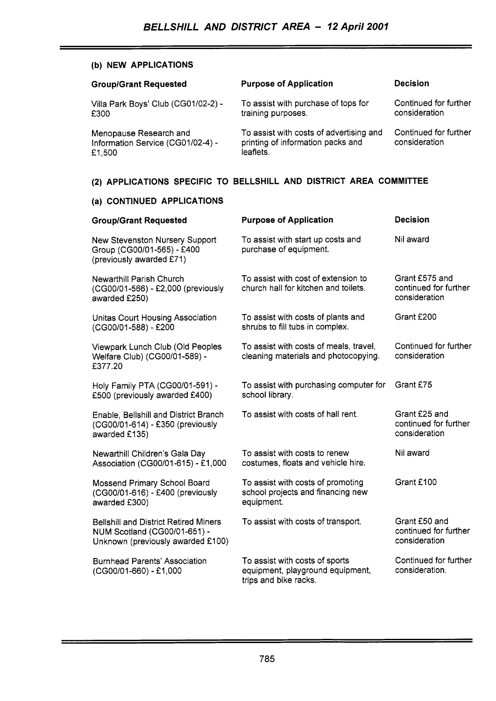## **(b) NEW APPLICATIONS**

| <b>Group/Grant Requested</b>                                          | <b>Purpose of Application</b>                                                             | <b>Decision</b>                        |
|-----------------------------------------------------------------------|-------------------------------------------------------------------------------------------|----------------------------------------|
| Villa Park Boys' Club (CG01/02-2) -<br>£300                           | To assist with purchase of tops for<br>training purposes.                                 | Continued for further<br>consideration |
| Menopause Research and<br>Information Service (CG01/02-4) -<br>£1,500 | To assist with costs of advertising and<br>printing of information packs and<br>leaflets. | Continued for further<br>consideration |
| (2) APPLICATIONS SPECIFIC TO BELLSHILL AND DISTRICT AREA COMMITTEE    |                                                                                           |                                        |

## **(a) CONTINUED APPLICATIONS**

| <b>Group/Grant Requested</b>                                                                                      | <b>Purpose of Application</b>                                                               | <b>Decision</b>                                          |
|-------------------------------------------------------------------------------------------------------------------|---------------------------------------------------------------------------------------------|----------------------------------------------------------|
| New Stevenston Nursery Support<br>Group (CG00/01-565) - £400<br>(previously awarded £71)                          | To assist with start up costs and<br>purchase of equipment.                                 | Nil award                                                |
| Newarthill Parish Church<br>(CG00/01-566) - £2,000 (previously<br>awarded £250)                                   | To assist with cost of extension to<br>church hall for kitchen and toilets.                 | Grant £575 and<br>continued for further<br>consideration |
| Unitas Court Housing Association<br>(CG00/01-588) - £200                                                          | To assist with costs of plants and<br>shrubs to fill tubs in complex.                       | Grant £200                                               |
| Viewpark Lunch Club (Old Peoples<br>Welfare Club) (CG00/01-589) -<br>£377.20                                      | To assist with costs of meals, travel,<br>cleaning materials and photocopying.              | Continued for further<br>consideration                   |
| Holy Family PTA (CG00/01-591) -<br>£500 (previously awarded £400)                                                 | To assist with purchasing computer for<br>school library.                                   | Grant £75                                                |
| Enable, Bellshill and District Branch<br>(CG00/01-614) - £350 (previously<br>awarded £135)                        | To assist with costs of hall rent.                                                          | Grant £25 and<br>continued for further<br>consideration  |
| Newarthill Children's Gala Day<br>Association (CG00/01-615) - £1,000                                              | To assist with costs to renew<br>costumes, floats and vehicle hire.                         | Nil award                                                |
| Mossend Primary School Board<br>(CG00/01-616) - £400 (previously<br>awarded £300)                                 | To assist with costs of promoting<br>school projects and financing new<br>equipment.        | Grant £100                                               |
| <b>Bellshill and District Retired Miners</b><br>NUM Scotland (CG00/01-651) -<br>Unknown (previously awarded £100) | To assist with costs of transport.                                                          | Grant £50 and<br>continued for further<br>consideration  |
| <b>Burnhead Parents' Association</b><br>(CG00/01-660) - £1,000                                                    | To assist with costs of sports<br>equipment, playground equipment,<br>trips and bike racks. | Continued for further<br>consideration.                  |

i,